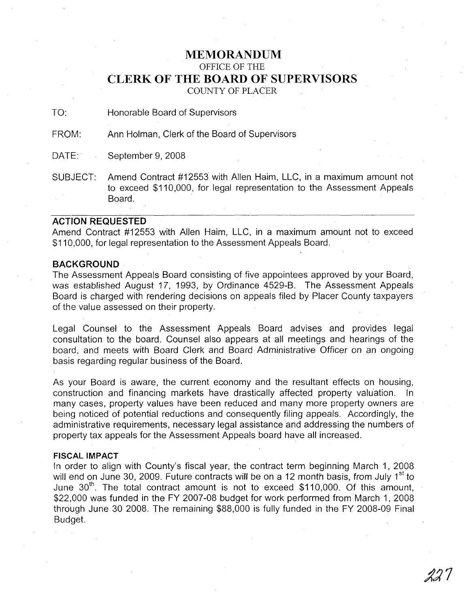# **MEMORANDUM**

OFFICE OF THE

# **CLERK OF THE BOARD OF SUPERVISORS**

COUNTY OF PLACER

TO: Honorable Board of Supervisors

FROM: Ann Holman, Clerk of the Board of Supervisors

DATE: September 9, 2008

SUBJECT: Amend Contract #12553 with Allen Haim, LLC, in a maximum amount not to exceed \$110,000, for legal representation to the Assessment Appeals Board.

#### **ACTION REQUESTED**

Amend Contract #12553 with Allen Haim, LLC, in a maximum amount not to exceed \$110,000, for legal representation to the Assessment Appeals Board.

### **BACKGROUND**

The Assessment Appeals Board consisting of five appointees approved by your Board, was established August 17, 1993, by Ordinance 4529-B. The Assessment Appeals Board is charged with rendering decisions on appeals filed by Placer County taxpayers of the value assessed on their property.

Legal Counsel to the Assessment Appeals Board advises and provides legal consultation to the board. Counsel also appears at all meetings and hearings of the board, and meets with Board Clerk and Board Administrative Officer on an ongoing basis regarding regular business of the Board.

As your Board is aware, the current economy and the resultant effects on housing, construction and financing markets have drastically affected property valuation. In many cases, property values have been reduced and many more property owners are being noticed of potential reductions and consequently filing appeals. Accordingly, the administrative requirements, necessary legal assistance and addressing the numbers of property tax appeals for the Assessment Appeals board have all increased.

#### **FISCAL IMPACT**

In order to align with County's fiscal year, the contract term beginning March 1, 2008 will end on June 30, 2009. Future contracts will be on a 12 month basis, from July 1<sup>st</sup> to June 30<sup>th</sup>. The total contract amount is not to exceed \$110,000. Of this amount, \$22,000 was funded in the FY 2007-08 budget for work performed from March 1, 2008 through June 30 2008. The remaining \$88,000 is fully funded in the FY 2008-09 Final Budget.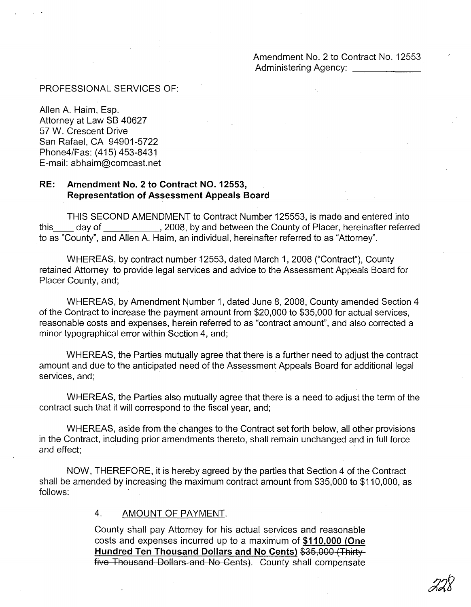#### PROFESSIONAL SERVICES OF:

Allen A. Haim, Esp. Attorney at Law SB 40627 57 W. Crescent Drive San Rafael, CA 94901-5722 Phone4/Fas: (415) 453-8431 E-mail: abhaim@comcast.net

## **RE: Amendment No.2 to Contract NO. 12553, Representation of Assessment Appeals Board**

THIS SECOND AMENDMENT to Contract Number 125553, is made and entered into this day of  $\qquad \qquad .$  2008, by and between the County of Placer, hereinafter referred to as "County", and Allen A. Haim, an individual, hereinafter referred to as "Attorney".

WHEREAS, by contract number 12553, dated March 1, 2008 ("Contract"), County retained Attorney to provide legal services and advice to the Assessment Appeals Board for Placer County, and;

WHEREAS, by Amendment Number 1, dated June 8, 2008, County amended Section 4 of the Contract to increase the payment amount from \$20,000 to \$35,000 for actual services, reasonable costs and expenses, herein referred to as "contract amount", and also corrected a minor typographical error within Section 4, and;

WHEREAS, the Parties mutually agree that there is a further need to adjust the contract amount and due to the anticipated need of the Assessment Appeals Board for additional legal services, and;

WHEREAS, the Parties also mutually agree that there is a need to adjust the term of the contract such that it will correspond to the fiscal year, and;

WHEREAS, aside from the changes to the Contract set forth below, all other provisions in the Contract, including prior amendments thereto, shall remain unchanged and in full force and effect:

NOW, THEREFORE, it is hereby agreed by the parties that Section 4 of the Contract shall be amended by increasing the maximum contract amount from \$35,000 to \$110,000, as follows:

#### 4. AMOUNT OF PAYMENT.

County shall pay Attorney for his actual services and reasonable costs and expenses incurred up to a maximum of **\$110,000 (One Hundred Ten Thousand Dollars and No Cents)** \$35,000 (Thirty five Thousand Dollars and No Cents). County shall compensate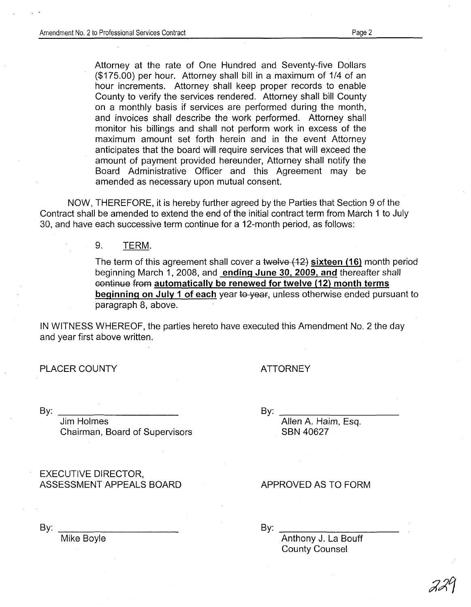Attorney at the rate of One Hundred and Seventy-five Dollars (\$175.00) per hour. Attorney shall bill in a maximum of 1/4 of an hour increments. Attorney shall keep proper records to enable County to verify the services rendered. Attorney shall bill County on a monthly basis if services are performed during the month, and invoices shall describe the work performed. Attorney shall monitor his billings and shall not perform work in excess of the maximum amount set forth herein and in the event Attorney anticipates that the board will require services that will exceed the amount of payment provided hereunder, Attorney shall notify the Board Administrative Officer and this Agreement may be amended as necessary upon mutual consent.

NOW, THEREFORE, it is hereby further agreed by the Parties that Section 9 of the Contract shall be amended to extend the end of the initial contract term from March 1 to July 30, and have each successive term continue for a 12-month period, as follows:

9. TERM.

The term of this agreement shall cover a twelve  $(12)$  sixteen (16) month period beginning March 1, 2008, and ending June 3D. 2009. and thereafter shall continue from automatically be renewed for twelve (12) month terms beginning on July 1 of each year to year, unless otherwise ended pursuant to paragraph 8, above.

IN WITNESS WHEREOF, the parties hereto have executed this Amendment NO.2 the day and year first above written.

PLACER COUNTY

ATTORNEY

 $\mathsf{B}\mathsf{v}$ :

Jim Holmes Chairman, Board of Supervisors

EXECUTIVE DIRECTOR, ASSESSMENT APPEALS BOARD

By:

APPROVED AS TO FORM

Allen A. Haim, Esq.

SBN 40627

By:

Mike Boyle

By:

Anthony J. La Bouff County Counsel